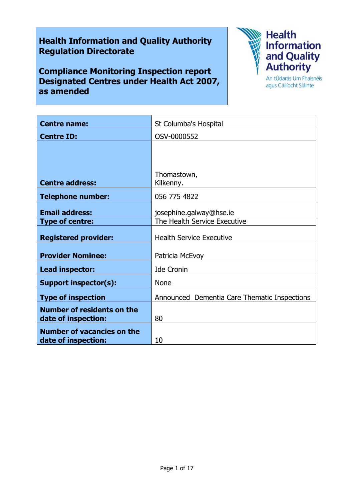# **Health Information and Quality Authority Regulation Directorate**

**Compliance Monitoring Inspection report Designated Centres under Health Act 2007, as amended**



agus Cáilíocht Sláinte

| <b>Centre name:</b>               | St Columba's Hospital                        |
|-----------------------------------|----------------------------------------------|
| <b>Centre ID:</b>                 | OSV-0000552                                  |
|                                   |                                              |
|                                   |                                              |
|                                   | Thomastown,                                  |
| <b>Centre address:</b>            | Kilkenny.                                    |
| <b>Telephone number:</b>          | 056 775 4822                                 |
|                                   |                                              |
| <b>Email address:</b>             | josephine.galway@hse.ie                      |
| <b>Type of centre:</b>            | The Health Service Executive                 |
| <b>Registered provider:</b>       | <b>Health Service Executive</b>              |
|                                   |                                              |
| <b>Provider Nominee:</b>          | Patricia McEvoy                              |
| Lead inspector:                   | <b>Ide Cronin</b>                            |
| <b>Support inspector(s):</b>      | <b>None</b>                                  |
| <b>Type of inspection</b>         | Announced Dementia Care Thematic Inspections |
| <b>Number of residents on the</b> |                                              |
| date of inspection:               | 80                                           |
| <b>Number of vacancies on the</b> |                                              |
| date of inspection:               | 10                                           |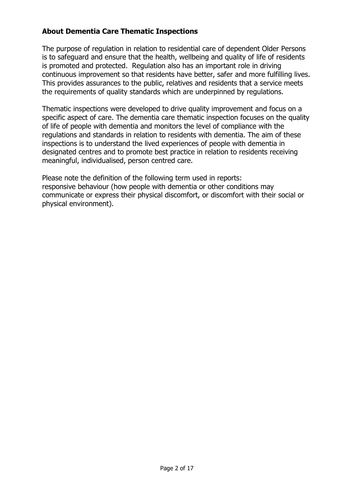# **About Dementia Care Thematic Inspections**

The purpose of regulation in relation to residential care of dependent Older Persons is to safeguard and ensure that the health, wellbeing and quality of life of residents is promoted and protected. Regulation also has an important role in driving continuous improvement so that residents have better, safer and more fulfilling lives. This provides assurances to the public, relatives and residents that a service meets the requirements of quality standards which are underpinned by regulations.

Thematic inspections were developed to drive quality improvement and focus on a specific aspect of care. The dementia care thematic inspection focuses on the quality of life of people with dementia and monitors the level of compliance with the regulations and standards in relation to residents with dementia. The aim of these inspections is to understand the lived experiences of people with dementia in designated centres and to promote best practice in relation to residents receiving meaningful, individualised, person centred care.

Please note the definition of the following term used in reports: responsive behaviour (how people with dementia or other conditions may communicate or express their physical discomfort, or discomfort with their social or physical environment).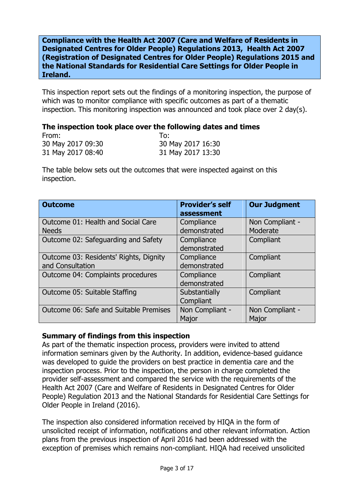**Compliance with the Health Act 2007 (Care and Welfare of Residents in Designated Centres for Older People) Regulations 2013, Health Act 2007 (Registration of Designated Centres for Older People) Regulations 2015 and the National Standards for Residential Care Settings for Older People in Ireland.**

This inspection report sets out the findings of a monitoring inspection, the purpose of which was to monitor compliance with specific outcomes as part of a thematic inspection. This monitoring inspection was announced and took place over 2 day(s).

#### **The inspection took place over the following dates and times**

| From:             | 10:               |
|-------------------|-------------------|
| 30 May 2017 09:30 | 30 May 2017 16:30 |
| 31 May 2017 08:40 | 31 May 2017 13:30 |

The table below sets out the outcomes that were inspected against on this inspection.

| <b>Outcome</b>                                             | <b>Provider's self</b><br>assessment | <b>Our Judgment</b>         |
|------------------------------------------------------------|--------------------------------------|-----------------------------|
| Outcome 01: Health and Social Care<br><b>Needs</b>         | Compliance<br>demonstrated           | Non Compliant -<br>Moderate |
| Outcome 02: Safeguarding and Safety                        | Compliance<br>demonstrated           | Compliant                   |
| Outcome 03: Residents' Rights, Dignity<br>and Consultation | Compliance<br>demonstrated           | Compliant                   |
| Outcome 04: Complaints procedures                          | Compliance<br>demonstrated           | Compliant                   |
| Outcome 05: Suitable Staffing                              | Substantially<br>Compliant           | Compliant                   |
| Outcome 06: Safe and Suitable Premises                     | Non Compliant -<br>Major             | Non Compliant -<br>Major    |

### **Summary of findings from this inspection**

As part of the thematic inspection process, providers were invited to attend information seminars given by the Authority. In addition, evidence-based guidance was developed to guide the providers on best practice in dementia care and the inspection process. Prior to the inspection, the person in charge completed the provider self-assessment and compared the service with the requirements of the Health Act 2007 (Care and Welfare of Residents in Designated Centres for Older People) Regulation 2013 and the National Standards for Residential Care Settings for Older People in Ireland (2016).

The inspection also considered information received by HIQA in the form of unsolicited receipt of information, notifications and other relevant information. Action plans from the previous inspection of April 2016 had been addressed with the exception of premises which remains non-compliant. HIQA had received unsolicited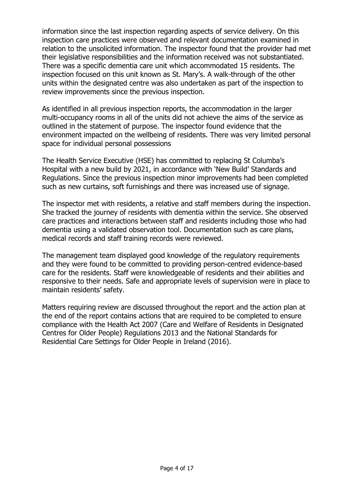information since the last inspection regarding aspects of service delivery. On this inspection care practices were observed and relevant documentation examined in relation to the unsolicited information. The inspector found that the provider had met their legislative responsibilities and the information received was not substantiated. There was a specific dementia care unit which accommodated 15 residents. The inspection focused on this unit known as St. Mary's. A walk-through of the other units within the designated centre was also undertaken as part of the inspection to review improvements since the previous inspection.

As identified in all previous inspection reports, the accommodation in the larger multi-occupancy rooms in all of the units did not achieve the aims of the service as outlined in the statement of purpose. The inspector found evidence that the environment impacted on the wellbeing of residents. There was very limited personal space for individual personal possessions

The Health Service Executive (HSE) has committed to replacing St Columba's Hospital with a new build by 2021, in accordance with 'New Build' Standards and Regulations. Since the previous inspection minor improvements had been completed such as new curtains, soft furnishings and there was increased use of signage.

The inspector met with residents, a relative and staff members during the inspection. She tracked the journey of residents with dementia within the service. She observed care practices and interactions between staff and residents including those who had dementia using a validated observation tool. Documentation such as care plans, medical records and staff training records were reviewed.

The management team displayed good knowledge of the regulatory requirements and they were found to be committed to providing person-centred evidence-based care for the residents. Staff were knowledgeable of residents and their abilities and responsive to their needs. Safe and appropriate levels of supervision were in place to maintain residents' safety.

Matters requiring review are discussed throughout the report and the action plan at the end of the report contains actions that are required to be completed to ensure compliance with the Health Act 2007 (Care and Welfare of Residents in Designated Centres for Older People) Regulations 2013 and the National Standards for Residential Care Settings for Older People in Ireland (2016).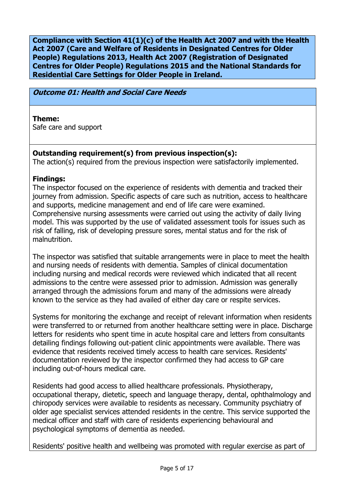**Compliance with Section 41(1)(c) of the Health Act 2007 and with the Health Act 2007 (Care and Welfare of Residents in Designated Centres for Older People) Regulations 2013, Health Act 2007 (Registration of Designated Centres for Older People) Regulations 2015 and the National Standards for Residential Care Settings for Older People in Ireland.**

### **Outcome 01: Health and Social Care Needs**

### **Theme:**

Safe care and support

# **Outstanding requirement(s) from previous inspection(s):**

The action(s) required from the previous inspection were satisfactorily implemented.

## **Findings:**

The inspector focused on the experience of residents with dementia and tracked their journey from admission. Specific aspects of care such as nutrition, access to healthcare and supports, medicine management and end of life care were examined. Comprehensive nursing assessments were carried out using the activity of daily living model. This was supported by the use of validated assessment tools for issues such as risk of falling, risk of developing pressure sores, mental status and for the risk of malnutrition.

The inspector was satisfied that suitable arrangements were in place to meet the health and nursing needs of residents with dementia. Samples of clinical documentation including nursing and medical records were reviewed which indicated that all recent admissions to the centre were assessed prior to admission. Admission was generally arranged through the admissions forum and many of the admissions were already known to the service as they had availed of either day care or respite services.

Systems for monitoring the exchange and receipt of relevant information when residents were transferred to or returned from another healthcare setting were in place. Discharge letters for residents who spent time in acute hospital care and letters from consultants detailing findings following out-patient clinic appointments were available. There was evidence that residents received timely access to health care services. Residents' documentation reviewed by the inspector confirmed they had access to GP care including out-of-hours medical care.

Residents had good access to allied healthcare professionals. Physiotherapy, occupational therapy, dietetic, speech and language therapy, dental, ophthalmology and chiropody services were available to residents as necessary. Community psychiatry of older age specialist services attended residents in the centre. This service supported the medical officer and staff with care of residents experiencing behavioural and psychological symptoms of dementia as needed.

Residents' positive health and wellbeing was promoted with regular exercise as part of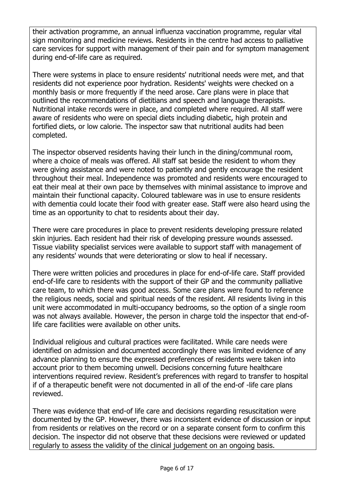their activation programme, an annual influenza vaccination programme, regular vital sign monitoring and medicine reviews. Residents in the centre had access to palliative care services for support with management of their pain and for symptom management during end-of-life care as required.

There were systems in place to ensure residents' nutritional needs were met, and that residents did not experience poor hydration. Residents' weights were checked on a monthly basis or more frequently if the need arose. Care plans were in place that outlined the recommendations of dietitians and speech and language therapists. Nutritional intake records were in place, and completed where required. All staff were aware of residents who were on special diets including diabetic, high protein and fortified diets, or low calorie. The inspector saw that nutritional audits had been completed.

The inspector observed residents having their lunch in the dining/communal room, where a choice of meals was offered. All staff sat beside the resident to whom they were giving assistance and were noted to patiently and gently encourage the resident throughout their meal. Independence was promoted and residents were encouraged to eat their meal at their own pace by themselves with minimal assistance to improve and maintain their functional capacity. Coloured tableware was in use to ensure residents with dementia could locate their food with greater ease. Staff were also heard using the time as an opportunity to chat to residents about their day.

There were care procedures in place to prevent residents developing pressure related skin injuries. Each resident had their risk of developing pressure wounds assessed. Tissue viability specialist services were available to support staff with management of any residents' wounds that were deteriorating or slow to heal if necessary.

There were written policies and procedures in place for end-of-life care. Staff provided end-of-life care to residents with the support of their GP and the community palliative care team, to which there was good access. Some care plans were found to reference the religious needs, social and spiritual needs of the resident. All residents living in this unit were accommodated in multi-occupancy bedrooms, so the option of a single room was not always available. However, the person in charge told the inspector that end-oflife care facilities were available on other units.

Individual religious and cultural practices were facilitated. While care needs were identified on admission and documented accordingly there was limited evidence of any advance planning to ensure the expressed preferences of residents were taken into account prior to them becoming unwell. Decisions concerning future healthcare interventions required review. Resident's preferences with regard to transfer to hospital if of a therapeutic benefit were not documented in all of the end-of -life care plans reviewed.

There was evidence that end-of life care and decisions regarding resuscitation were documented by the GP. However, there was inconsistent evidence of discussion or input from residents or relatives on the record or on a separate consent form to confirm this decision. The inspector did not observe that these decisions were reviewed or updated regularly to assess the validity of the clinical judgement on an ongoing basis.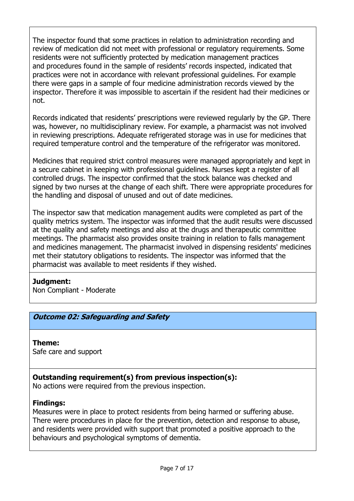The inspector found that some practices in relation to administration recording and review of medication did not meet with professional or regulatory requirements. Some residents were not sufficiently protected by medication management practices and procedures found in the sample of residents' records inspected, indicated that practices were not in accordance with relevant professional guidelines. For example there were gaps in a sample of four medicine administration records viewed by the inspector. Therefore it was impossible to ascertain if the resident had their medicines or not.

Records indicated that residents' prescriptions were reviewed regularly by the GP. There was, however, no multidisciplinary review. For example, a pharmacist was not involved in reviewing prescriptions. Adequate refrigerated storage was in use for medicines that required temperature control and the temperature of the refrigerator was monitored.

Medicines that required strict control measures were managed appropriately and kept in a secure cabinet in keeping with professional guidelines. Nurses kept a register of all controlled drugs. The inspector confirmed that the stock balance was checked and signed by two nurses at the change of each shift. There were appropriate procedures for the handling and disposal of unused and out of date medicines.

The inspector saw that medication management audits were completed as part of the quality metrics system. The inspector was informed that the audit results were discussed at the quality and safety meetings and also at the drugs and therapeutic committee meetings. The pharmacist also provides onsite training in relation to falls management and medicines management. The pharmacist involved in dispensing residents' medicines met their statutory obligations to residents. The inspector was informed that the pharmacist was available to meet residents if they wished.

### **Judgment:**

Non Compliant - Moderate

# **Outcome 02: Safeguarding and Safety**

#### **Theme:**  Safe care and support

# **Outstanding requirement(s) from previous inspection(s):**

No actions were required from the previous inspection.

# **Findings:**

Measures were in place to protect residents from being harmed or suffering abuse. There were procedures in place for the prevention, detection and response to abuse, and residents were provided with support that promoted a positive approach to the behaviours and psychological symptoms of dementia.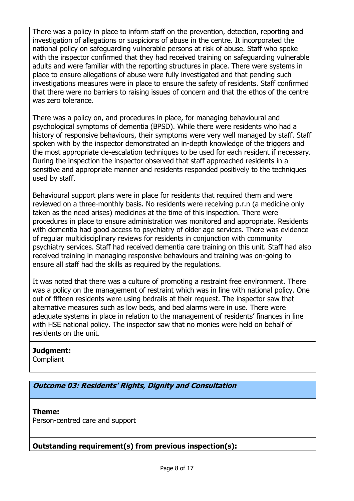There was a policy in place to inform staff on the prevention, detection, reporting and investigation of allegations or suspicions of abuse in the centre. It incorporated the national policy on safeguarding vulnerable persons at risk of abuse. Staff who spoke with the inspector confirmed that they had received training on safeguarding vulnerable adults and were familiar with the reporting structures in place. There were systems in place to ensure allegations of abuse were fully investigated and that pending such investigations measures were in place to ensure the safety of residents. Staff confirmed that there were no barriers to raising issues of concern and that the ethos of the centre was zero tolerance.

There was a policy on, and procedures in place, for managing behavioural and psychological symptoms of dementia (BPSD). While there were residents who had a history of responsive behaviours, their symptoms were very well managed by staff. Staff spoken with by the inspector demonstrated an in-depth knowledge of the triggers and the most appropriate de-escalation techniques to be used for each resident if necessary. During the inspection the inspector observed that staff approached residents in a sensitive and appropriate manner and residents responded positively to the techniques used by staff.

Behavioural support plans were in place for residents that required them and were reviewed on a three-monthly basis. No residents were receiving p.r.n (a medicine only taken as the need arises) medicines at the time of this inspection. There were procedures in place to ensure administration was monitored and appropriate. Residents with dementia had good access to psychiatry of older age services. There was evidence of regular multidisciplinary reviews for residents in conjunction with community psychiatry services. Staff had received dementia care training on this unit. Staff had also received training in managing responsive behaviours and training was on-going to ensure all staff had the skills as required by the regulations.

It was noted that there was a culture of promoting a restraint free environment. There was a policy on the management of restraint which was in line with national policy. One out of fifteen residents were using bedrails at their request. The inspector saw that alternative measures such as low beds, and bed alarms were in use. There were adequate systems in place in relation to the management of residents' finances in line with HSE national policy. The inspector saw that no monies were held on behalf of residents on the unit.

# **Judgment:**

**Compliant** 

**Outcome 03: Residents' Rights, Dignity and Consultation**

# **Theme:**

Person-centred care and support

# **Outstanding requirement(s) from previous inspection(s):**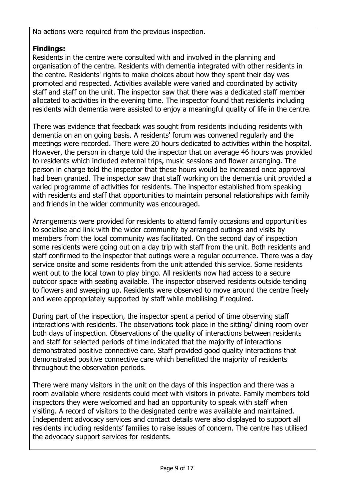No actions were required from the previous inspection.

# **Findings:**

Residents in the centre were consulted with and involved in the planning and organisation of the centre. Residents with dementia integrated with other residents in the centre. Residents' rights to make choices about how they spent their day was promoted and respected. Activities available were varied and coordinated by activity staff and staff on the unit. The inspector saw that there was a dedicated staff member allocated to activities in the evening time. The inspector found that residents including residents with dementia were assisted to enjoy a meaningful quality of life in the centre.

There was evidence that feedback was sought from residents including residents with dementia on an on going basis. A residents' forum was convened regularly and the meetings were recorded. There were 20 hours dedicated to activities within the hospital. However, the person in charge told the inspector that on average 46 hours was provided to residents which included external trips, music sessions and flower arranging. The person in charge told the inspector that these hours would be increased once approval had been granted. The inspector saw that staff working on the dementia unit provided a varied programme of activities for residents. The inspector established from speaking with residents and staff that opportunities to maintain personal relationships with family and friends in the wider community was encouraged.

Arrangements were provided for residents to attend family occasions and opportunities to socialise and link with the wider community by arranged outings and visits by members from the local community was facilitated. On the second day of inspection some residents were going out on a day trip with staff from the unit. Both residents and staff confirmed to the inspector that outings were a regular occurrence. There was a day service onsite and some residents from the unit attended this service. Some residents went out to the local town to play bingo. All residents now had access to a secure outdoor space with seating available. The inspector observed residents outside tending to flowers and sweeping up. Residents were observed to move around the centre freely and were appropriately supported by staff while mobilising if required.

During part of the inspection, the inspector spent a period of time observing staff interactions with residents. The observations took place in the sitting/ dining room over both days of inspection. Observations of the quality of interactions between residents and staff for selected periods of time indicated that the majority of interactions demonstrated positive connective care. Staff provided good quality interactions that demonstrated positive connective care which benefitted the majority of residents throughout the observation periods.

There were many visitors in the unit on the days of this inspection and there was a room available where residents could meet with visitors in private. Family members told inspectors they were welcomed and had an opportunity to speak with staff when visiting. A record of visitors to the designated centre was available and maintained. Independent advocacy services and contact details were also displayed to support all residents including residents' families to raise issues of concern. The centre has utilised the advocacy support services for residents.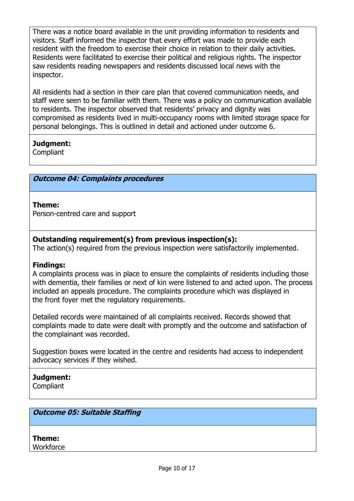There was a notice board available in the unit providing information to residents and visitors. Staff informed the inspector that every effort was made to provide each resident with the freedom to exercise their choice in relation to their daily activities. Residents were facilitated to exercise their political and religious rights. The inspector saw residents reading newspapers and residents discussed local news with the inspector.

All residents had a section in their care plan that covered communication needs, and staff were seen to be familiar with them. There was a policy on communication available to residents. The inspector observed that residents' privacy and dignity was compromised as residents lived in multi-occupancy rooms with limited storage space for personal belongings. This is outlined in detail and actioned under outcome 6.

## **Judgment:**

**Compliant** 

## **Outcome 04: Complaints procedures**

### **Theme:**

Person-centred care and support

# **Outstanding requirement(s) from previous inspection(s):**

The action(s) required from the previous inspection were satisfactorily implemented.

### **Findings:**

A complaints process was in place to ensure the complaints of residents including those with dementia, their families or next of kin were listened to and acted upon. The process included an appeals procedure. The complaints procedure which was displayed in the front foyer met the regulatory requirements.

Detailed records were maintained of all complaints received. Records showed that complaints made to date were dealt with promptly and the outcome and satisfaction of the complainant was recorded.

Suggestion boxes were located in the centre and residents had access to independent advocacy services if they wished.

# **Judgment:**

Compliant

### **Outcome 05: Suitable Staffing**

**Theme: Workforce**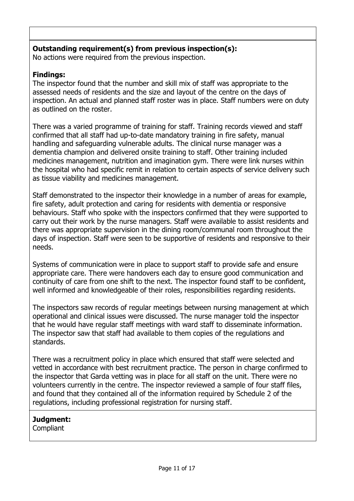# **Outstanding requirement(s) from previous inspection(s):**

No actions were required from the previous inspection.

# **Findings:**

The inspector found that the number and skill mix of staff was appropriate to the assessed needs of residents and the size and layout of the centre on the days of inspection. An actual and planned staff roster was in place. Staff numbers were on duty as outlined on the roster.

There was a varied programme of training for staff. Training records viewed and staff confirmed that all staff had up-to-date mandatory training in fire safety, manual handling and safeguarding vulnerable adults. The clinical nurse manager was a dementia champion and delivered onsite training to staff. Other training included medicines management, nutrition and imagination gym. There were link nurses within the hospital who had specific remit in relation to certain aspects of service delivery such as tissue viability and medicines management.

Staff demonstrated to the inspector their knowledge in a number of areas for example, fire safety, adult protection and caring for residents with dementia or responsive behaviours. Staff who spoke with the inspectors confirmed that they were supported to carry out their work by the nurse managers. Staff were available to assist residents and there was appropriate supervision in the dining room/communal room throughout the days of inspection. Staff were seen to be supportive of residents and responsive to their needs.

Systems of communication were in place to support staff to provide safe and ensure appropriate care. There were handovers each day to ensure good communication and continuity of care from one shift to the next. The inspector found staff to be confident, well informed and knowledgeable of their roles, responsibilities regarding residents.

The inspectors saw records of regular meetings between nursing management at which operational and clinical issues were discussed. The nurse manager told the inspector that he would have regular staff meetings with ward staff to disseminate information. The inspector saw that staff had available to them copies of the regulations and standards.

There was a recruitment policy in place which ensured that staff were selected and vetted in accordance with best recruitment practice. The person in charge confirmed to the inspector that Garda vetting was in place for all staff on the unit. There were no volunteers currently in the centre. The inspector reviewed a sample of four staff files, and found that they contained all of the information required by Schedule 2 of the regulations, including professional registration for nursing staff.

# **Judgment:**

**Compliant**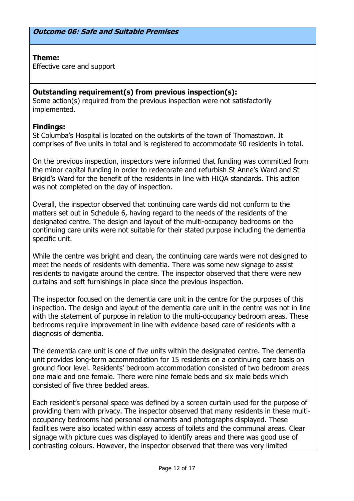### **Theme:**

Effective care and support

# **Outstanding requirement(s) from previous inspection(s):**

Some action(s) required from the previous inspection were not satisfactorily implemented.

### **Findings:**

St Columba's Hospital is located on the outskirts of the town of Thomastown. It comprises of five units in total and is registered to accommodate 90 residents in total.

On the previous inspection, inspectors were informed that funding was committed from the minor capital funding in order to redecorate and refurbish St Anne's Ward and St Brigid's Ward for the benefit of the residents in line with HIQA standards. This action was not completed on the day of inspection.

Overall, the inspector observed that continuing care wards did not conform to the matters set out in Schedule 6, having regard to the needs of the residents of the designated centre. The design and layout of the multi-occupancy bedrooms on the continuing care units were not suitable for their stated purpose including the dementia specific unit.

While the centre was bright and clean, the continuing care wards were not designed to meet the needs of residents with dementia. There was some new signage to assist residents to navigate around the centre. The inspector observed that there were new curtains and soft furnishings in place since the previous inspection.

The inspector focused on the dementia care unit in the centre for the purposes of this inspection. The design and layout of the dementia care unit in the centre was not in line with the statement of purpose in relation to the multi-occupancy bedroom areas. These bedrooms require improvement in line with evidence-based care of residents with a diagnosis of dementia.

The dementia care unit is one of five units within the designated centre. The dementia unit provides long-term accommodation for 15 residents on a continuing care basis on ground floor level. Residents' bedroom accommodation consisted of two bedroom areas one male and one female. There were nine female beds and six male beds which consisted of five three bedded areas.

Each resident's personal space was defined by a screen curtain used for the purpose of providing them with privacy. The inspector observed that many residents in these multioccupancy bedrooms had personal ornaments and photographs displayed. These facilities were also located within easy access of toilets and the communal areas. Clear signage with picture cues was displayed to identify areas and there was good use of contrasting colours. However, the inspector observed that there was very limited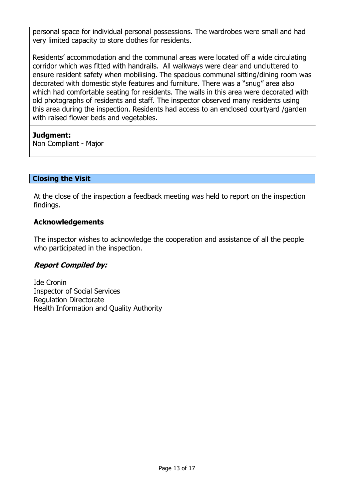personal space for individual personal possessions. The wardrobes were small and had very limited capacity to store clothes for residents.

Residents' accommodation and the communal areas were located off a wide circulating corridor which was fitted with handrails. All walkways were clear and uncluttered to ensure resident safety when mobilising. The spacious communal sitting/dining room was decorated with domestic style features and furniture. There was a "snug" area also which had comfortable seating for residents. The walls in this area were decorated with old photographs of residents and staff. The inspector observed many residents using this area during the inspection. Residents had access to an enclosed courtyard /garden with raised flower beds and vegetables.

## **Judgment:**

Non Compliant - Major

# **Closing the Visit**

At the close of the inspection a feedback meeting was held to report on the inspection findings.

## **Acknowledgements**

The inspector wishes to acknowledge the cooperation and assistance of all the people who participated in the inspection.

# **Report Compiled by:**

Ide Cronin Inspector of Social Services Regulation Directorate Health Information and Quality Authority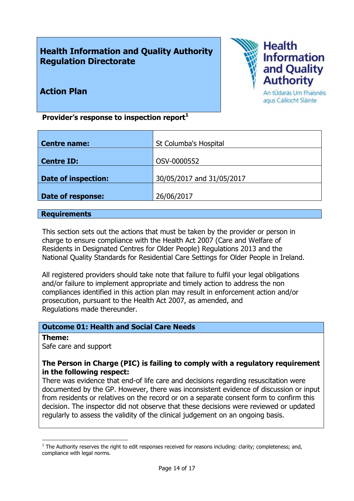# **Health Information and Quality Authority Regulation Directorate**



# **Action Plan**

An tÚdarás Um Fhaisnéis agus Cáilíocht Sláinte

**Provider's response to inspection report<sup>1</sup>**

| <b>Centre name:</b>        | St Columba's Hospital     |
|----------------------------|---------------------------|
|                            |                           |
| <b>Centre ID:</b>          | OSV-0000552               |
|                            |                           |
| <b>Date of inspection:</b> | 30/05/2017 and 31/05/2017 |
|                            |                           |
| <b>Date of response:</b>   | 26/06/2017                |
|                            |                           |

### **Requirements**

This section sets out the actions that must be taken by the provider or person in charge to ensure compliance with the Health Act 2007 (Care and Welfare of Residents in Designated Centres for Older People) Regulations 2013 and the National Quality Standards for Residential Care Settings for Older People in Ireland.

All registered providers should take note that failure to fulfil your legal obligations and/or failure to implement appropriate and timely action to address the non compliances identified in this action plan may result in enforcement action and/or prosecution, pursuant to the Health Act 2007, as amended, and Regulations made thereunder.

### **Outcome 01: Health and Social Care Needs**

#### **Theme:**

 $\overline{a}$ 

Safe care and support

### **The Person in Charge (PIC) is failing to comply with a regulatory requirement in the following respect:**

There was evidence that end-of life care and decisions regarding resuscitation were documented by the GP. However, there was inconsistent evidence of discussion or input from residents or relatives on the record or on a separate consent form to confirm this decision. The inspector did not observe that these decisions were reviewed or updated regularly to assess the validity of the clinical judgement on an ongoing basis.

 $<sup>1</sup>$  The Authority reserves the right to edit responses received for reasons including: clarity; completeness; and,</sup> compliance with legal norms.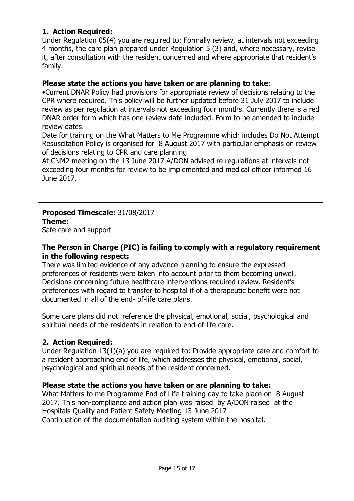# **1. Action Required:**

Under Regulation 05(4) you are required to: Formally review, at intervals not exceeding 4 months, the care plan prepared under Regulation 5 (3) and, where necessary, revise it, after consultation with the resident concerned and where appropriate that resident's family.

### **Please state the actions you have taken or are planning to take:**

•Current DNAR Policy had provisions for appropriate review of decisions relating to the CPR where required. This policy will be further updated before 31 July 2017 to include review as per regulation at intervals not exceeding four months. Currently there is a red DNAR order form which has one review date included. Form to be amended to include review dates.

Date for training on the What Matters to Me Programme which includes Do Not Attempt Resuscitation Policy is organised for 8 August 2017 with particular emphasis on review of decisions relating to CPR and care planning

At CNM2 meeting on the 13 June 2017 A/DON advised re regulations at intervals not exceeding four months for review to be implemented and medical officer informed 16 June 2017.

## **Proposed Timescale:** 31/08/2017

#### **Theme:**

Safe care and support

### **The Person in Charge (PIC) is failing to comply with a regulatory requirement in the following respect:**

There was limited evidence of any advance planning to ensure the expressed preferences of residents were taken into account prior to them becoming unwell. Decisions concerning future healthcare interventions required review. Resident's preferences with regard to transfer to hospital if of a therapeutic benefit were not documented in all of the end- of-life care plans.

Some care plans did not reference the physical, emotional, social, psychological and spiritual needs of the residents in relation to end-of-life care.

### **2. Action Required:**

Under Regulation 13(1)(a) you are required to: Provide appropriate care and comfort to a resident approaching end of life, which addresses the physical, emotional, social, psychological and spiritual needs of the resident concerned.

### **Please state the actions you have taken or are planning to take:**

What Matters to me Programme End of Life training day to take place on 8 August 2017. This non-compliance and action plan was raised by A/DON raised at the Hospitals Quality and Patient Safety Meeting 13 June 2017 Continuation of the documentation auditing system within the hospital.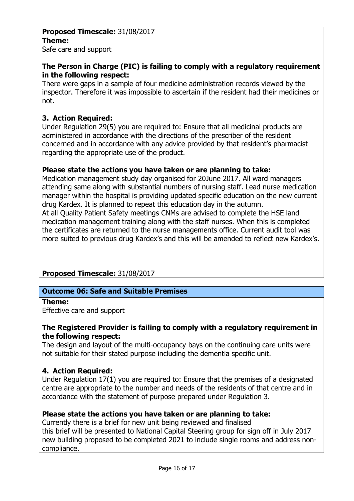# **Proposed Timescale:** 31/08/2017 **Theme:**

Safe care and support

# **The Person in Charge (PIC) is failing to comply with a regulatory requirement in the following respect:**

There were gaps in a sample of four medicine administration records viewed by the inspector. Therefore it was impossible to ascertain if the resident had their medicines or not.

# **3. Action Required:**

Under Regulation 29(5) you are required to: Ensure that all medicinal products are administered in accordance with the directions of the prescriber of the resident concerned and in accordance with any advice provided by that resident's pharmacist regarding the appropriate use of the product.

### **Please state the actions you have taken or are planning to take:**

Medication management study day organised for 20June 2017. All ward managers attending same along with substantial numbers of nursing staff. Lead nurse medication manager within the hospital is providing updated specific education on the new current drug Kardex. It is planned to repeat this education day in the autumn. At all Quality Patient Safety meetings CNMs are advised to complete the HSE land medication management training along with the staff nurses. When this is completed the certificates are returned to the nurse managements office. Current audit tool was more suited to previous drug Kardex's and this will be amended to reflect new Kardex's.

# **Proposed Timescale:** 31/08/2017

### **Outcome 06: Safe and Suitable Premises**

#### **Theme:**

Effective care and support

### **The Registered Provider is failing to comply with a regulatory requirement in the following respect:**

The design and layout of the multi-occupancy bays on the continuing care units were not suitable for their stated purpose including the dementia specific unit.

### **4. Action Required:**

Under Regulation 17(1) you are required to: Ensure that the premises of a designated centre are appropriate to the number and needs of the residents of that centre and in accordance with the statement of purpose prepared under Regulation 3.

## **Please state the actions you have taken or are planning to take:**

Currently there is a brief for new unit being reviewed and finalised this brief will be presented to National Capital Steering group for sign off in July 2017 new building proposed to be completed 2021 to include single rooms and address noncompliance.